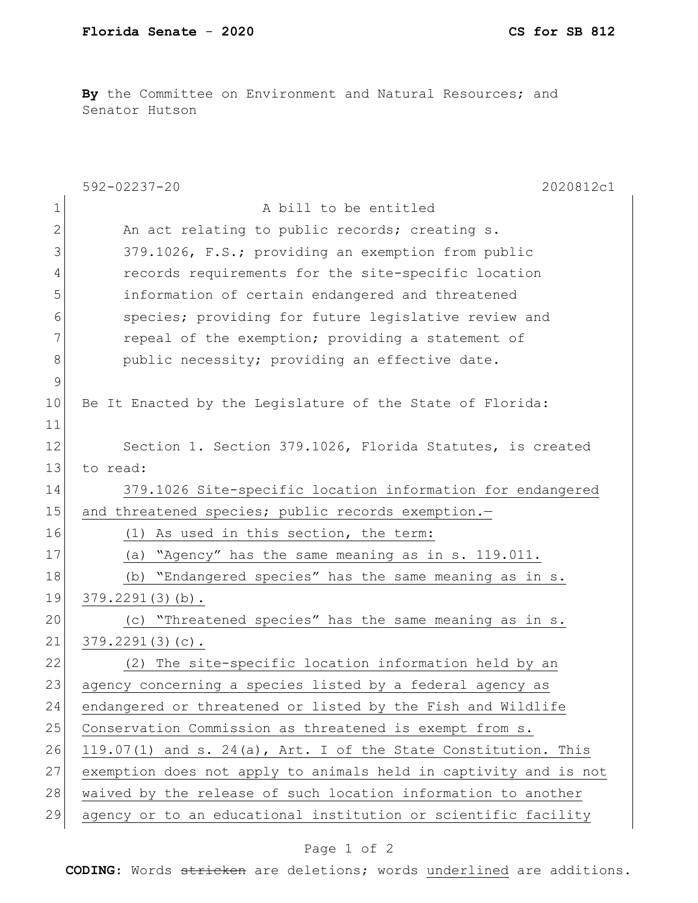**By** the Committee on Environment and Natural Resources; and Senator Hutson

|                | $592 - 02237 - 20$<br>2020812c1                                  |
|----------------|------------------------------------------------------------------|
| $\mathbf 1$    | A bill to be entitled                                            |
| $\overline{2}$ | An act relating to public records; creating s.                   |
| 3              | 379.1026, F.S.; providing an exemption from public               |
| 4              | records requirements for the site-specific location              |
| 5              | information of certain endangered and threatened                 |
| 6              | species; providing for future legislative review and             |
| 7              | repeal of the exemption; providing a statement of                |
| 8              | public necessity; providing an effective date.                   |
| $\mathsf 9$    |                                                                  |
| 10             | Be It Enacted by the Legislature of the State of Florida:        |
| 11             |                                                                  |
| 12             | Section 1. Section 379.1026, Florida Statutes, is created        |
| 13             | to read:                                                         |
| 14             | 379.1026 Site-specific location information for endangered       |
| 15             | and threatened species; public records exemption.-               |
| 16             | As used in this section, the term:<br>(1)                        |
| 17             | "Agency" has the same meaning as in s. 119.011.<br>(a)           |
| 18             | (b) "Endangered species" has the same meaning as in s.           |
| 19             | $379.2291(3)(b)$ .                                               |
| 20             | (c) "Threatened species" has the same meaning as in s.           |
| 21             | $379.2291(3)(c)$ .                                               |
| 22             | The site-specific location information held by an<br>(2)         |
| 23             | agency concerning a species listed by a federal agency as        |
| 24             | endangered or threatened or listed by the Fish and Wildlife      |
| 25             | Conservation Commission as threatened is exempt from s.          |
| 26             | 119.07(1) and s. 24(a), Art. I of the State Constitution. This   |
| 27             | exemption does not apply to animals held in captivity and is not |
| 28             | waived by the release of such location information to another    |
| 29             | agency or to an educational institution or scientific facility   |

## Page 1 of 2

**CODING**: Words stricken are deletions; words underlined are additions.